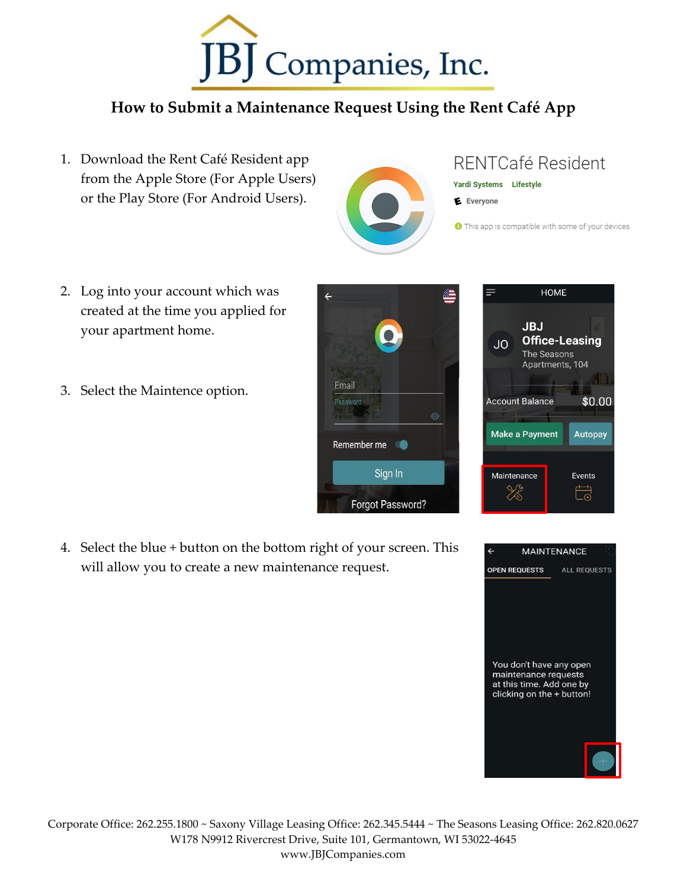

## **How to Submit a Maintenance Request Using the Rent Café App**

- 1. Download the Rent Café Resident app from the Apple Store (For Apple Users) or the Play Store (For Android Users).
- 2. Log into your account which was created at the time you applied for your apartment home.
- 3. Select the Maintence option.

4. Select the blue + button on the bottom right of your screen. This will allow you to create a new maintenance request.







## RENTCafé Resident

- Yardi Systems Lifestyle
- E Everyone

**O** This app is compatible with some of your devices.

\$0.00

**Autopay** 

Events

 $\overleftrightarrow{\mathbb{G}}$